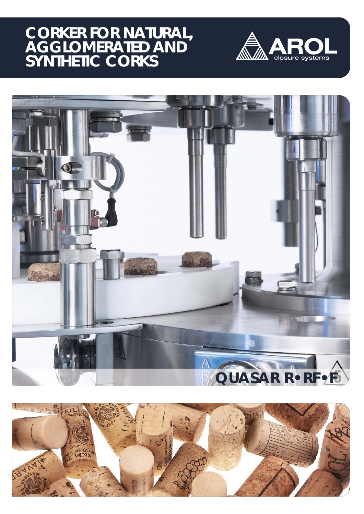# **CORKER FOR NATURAL, AGGLOMERATED AND SYNTHETIC CORKS**





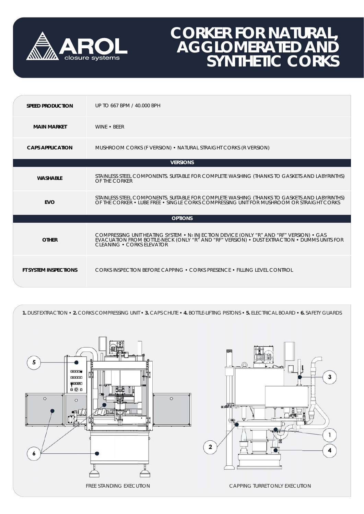

# **CORKER FOR NATURAL, AGGLOMERATED AND SYNTHETIC CORKS**

| <b>SPEED PRODUCTION</b>      | UP TO 667 BPM / 40,000 BPH                                                                                                                                                                                          |
|------------------------------|---------------------------------------------------------------------------------------------------------------------------------------------------------------------------------------------------------------------|
| <b>MAIN MARKET</b>           | WINF • RFFR                                                                                                                                                                                                         |
| <b>CAPS APPLICATION</b>      | MUSHROOM CORKS (F VERSION) • NATURAL STRAIGHT CORKS (R VERSION)                                                                                                                                                     |
| <b>VERSIONS</b>              |                                                                                                                                                                                                                     |
| <b>WASHABLE</b>              | STAINLESS STEEL COMPONENTS. SUITABLE FOR COMPLETE WASHING (THANKS TO GASKETS AND LABYRINTHS)<br>OF THE CORKER                                                                                                       |
| <b>EVO</b>                   | STAINLESS STEEL COMPONENTS. SUITABLE FOR COMPLETE WASHING (THANKS TO GASKETS AND LABYRINTHS)<br>OF THE CORKER • LUBE FREE • SINGLE CORKS COMPRESSING UNIT FOR MUSHROOM OR STRAIGHT CORKS                            |
|                              | <b>OPTIONS</b>                                                                                                                                                                                                      |
| <b>OTHER</b>                 | COMPRESSING UNIT HEATING SYSTEM • N2 INJECTION DEVICE (ONLY "R" AND "RF" VERSION) • GAS<br>EVACUATION FROM BOTTLE-NECK (ONLY "R" AND "RF" VERSION) • DUST EXTRACTION • DUMMS UNITS FOR<br>CLEANING . CORKS ELEVATOR |
| <b>FT SYSTEM INSPECTIONS</b> | CORKS INSPECTION BEFORE CAPPING . CORKS PRESENCE . FILLING LEVEL CONTROL                                                                                                                                            |

**1.** DUST EXTRACTION • **2.** CORKS COMPRESSING UNIT • **3.** CAPS CHUTE • **4.** BOTTLE-LIFTING PISTONS • **5.** ELECTRICAL BOARD • **6.** SAFETY GUARDS



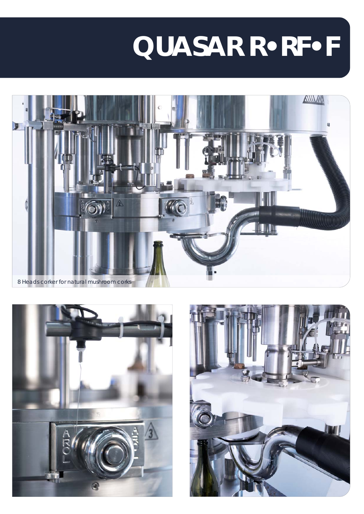# **QUASAR R•RF•F**